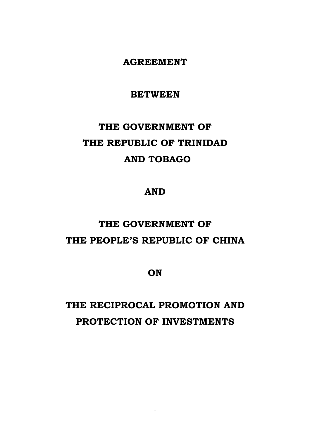**AGREEMENT** 

**BETWEEN** 

# **THE GOVERNMENT OF THE REPUBLIC OF TRINIDAD AND TOBAGO**

### **AND**

## **THE GOVERNMENT OF THE PEOPLE'S REPUBLIC OF CHINA**

**ON** 

## **THE RECIPROCAL PROMOTION AND PROTECTION OF INVESTMENTS**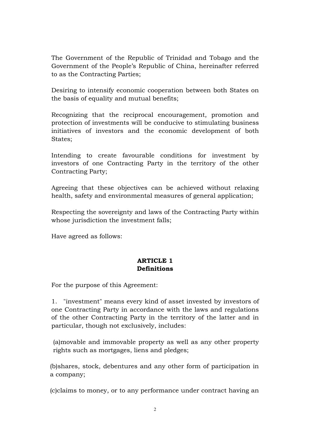The Government of the Republic of Trinidad and Tobago and the Government of the People's Republic of China, hereinafter referred to as the Contracting Parties;

Desiring to intensify economic cooperation between both States on the basis of equality and mutual benefits;

Recognizing that the reciprocal encouragement, promotion and protection of investments will be conducive to stimulating business initiatives of investors and the economic development of both States;

Intending to create favourable conditions for investment by investors of one Contracting Party in the territory of the other Contracting Party;

Agreeing that these objectives can be achieved without relaxing health, safety and environmental measures of general application;

Respecting the sovereignty and laws of the Contracting Party within whose jurisdiction the investment falls;

Have agreed as follows:

#### **ARTICLE 1 Definitions**

For the purpose of this Agreement:

1. "investment" means every kind of asset invested by investors of one Contracting Party in accordance with the laws and regulations of the other Contracting Party in the territory of the latter and in particular, though not exclusively, includes:

(a)movable and immovable property as well as any other property rights such as mortgages, liens and pledges;

(b)shares, stock, debentures and any other form of participation in a company;

(c)claims to money, or to any performance under contract having an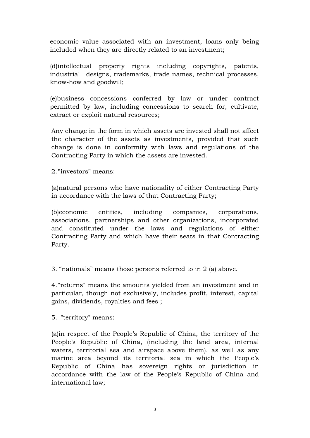economic value associated with an investment, loans only being included when they are directly related to an investment;

(d)intellectual property rights including copyrights, patents, industrial designs, trademarks, trade names, technical processes, know-how and goodwill;

(e)business concessions conferred by law or under contract permitted by law, including concessions to search for, cultivate, extract or exploit natural resources;

Any change in the form in which assets are invested shall not affect the character of the assets as investments, provided that such change is done in conformity with laws and regulations of the Contracting Party in which the assets are invested.

2. **"**investors**"** means:

(a)natural persons who have nationality of either Contracting Party in accordance with the laws of that Contracting Party;

(b)economic entities, including companies, corporations, associations, partnerships and other organizations, incorporated and constituted under the laws and regulations of either Contracting Party and which have their seats in that Contracting Party.

3. "nationals" means those persons referred to in 2 (a) above.

4. "returns" means the amounts yielded from an investment and in particular, though not exclusively, includes profit, interest, capital gains, dividends, royalties and fees ;

5. "territory" means:

(a)in respect of the People's Republic of China, the territory of the People's Republic of China, (including the land area, internal waters, territorial sea and airspace above them), as well as any marine area beyond its territorial sea in which the People's Republic of China has sovereign rights or jurisdiction in accordance with the law of the People's Republic of China and international law;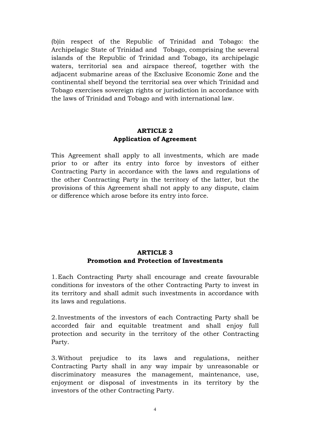(b)in respect of the Republic of Trinidad and Tobago: the Archipelagic State of Trinidad and Tobago, comprising the several islands of the Republic of Trinidad and Tobago, its archipelagic waters, territorial sea and airspace thereof, together with the adjacent submarine areas of the Exclusive Economic Zone and the continental shelf beyond the territorial sea over which Trinidad and Tobago exercises sovereign rights or jurisdiction in accordance with the laws of Trinidad and Tobago and with international law.

#### **ARTICLE 2 Application of Agreement**

This Agreement shall apply to all investments, which are made prior to or after its entry into force by investors of either Contracting Party in accordance with the laws and regulations of the other Contracting Party in the territory of the latter, but the provisions of this Agreement shall not apply to any dispute, claim or difference which arose before its entry into force.

#### **ARTICLE 3 Promotion and Protection of Investments**

1. Each Contracting Party shall encourage and create favourable conditions for investors of the other Contracting Party to invest in its territory and shall admit such investments in accordance with its laws and regulations.

2. Investments of the investors of each Contracting Party shall be accorded fair and equitable treatment and shall enjoy full protection and security in the territory of the other Contracting Party.

3. Without prejudice to its laws and regulations, neither Contracting Party shall in any way impair by unreasonable or discriminatory measures the management, maintenance, use, enjoyment or disposal of investments in its territory by the investors of the other Contracting Party.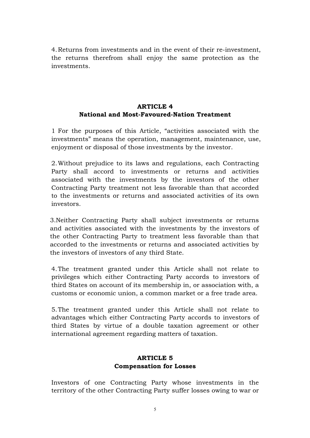4. Returns from investments and in the event of their re-investment, the returns therefrom shall enjoy the same protection as the investments.

#### **ARTICLE 4 National and Most-Favoured-Nation Treatment**

1 For the purposes of this Article, "activities associated with the investments" means the operation, management, maintenance, use, enjoyment or disposal of those investments by the investor.

2. Without prejudice to its laws and regulations, each Contracting Party shall accord to investments or returns and activities associated with the investments by the investors of the other Contracting Party treatment not less favorable than that accorded to the investments or returns and associated activities of its own investors.

3.Neither Contracting Party shall subject investments or returns and activities associated with the investments by the investors of the other Contracting Party to treatment less favorable than that accorded to the investments or returns and associated activities by the investors of investors of any third State.

4. The treatment granted under this Article shall not relate to privileges which either Contracting Party accords to investors of third States on account of its membership in, or association with, a customs or economic union, a common market or a free trade area.

5. The treatment granted under this Article shall not relate to advantages which either Contracting Party accords to investors of third States by virtue of a double taxation agreement or other international agreement regarding matters of taxation.

#### **ARTICLE 5 Compensation for Losses**

Investors of one Contracting Party whose investments in the territory of the other Contracting Party suffer losses owing to war or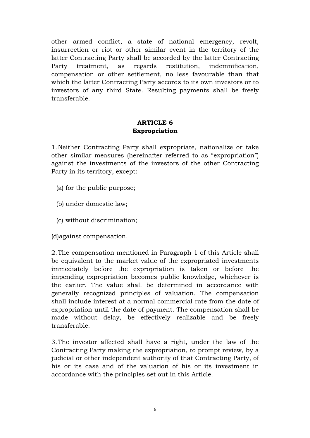other armed conflict, a state of national emergency, revolt, insurrection or riot or other similar event in the territory of the latter Contracting Party shall be accorded by the latter Contracting Party treatment, as regards restitution, indemnification, compensation or other settlement, no less favourable than that which the latter Contracting Party accords to its own investors or to investors of any third State. Resulting payments shall be freely transferable.

#### **ARTICLE 6 Expropriation**

1. Neither Contracting Party shall expropriate, nationalize or take other similar measures (hereinafter referred to as "expropriation") against the investments of the investors of the other Contracting Party in its territory, except:

- (a) for the public purpose;
- (b) under domestic law;
- (c) without discrimination;

(d)against compensation.

2. The compensation mentioned in Paragraph 1 of this Article shall be equivalent to the market value of the expropriated investments immediately before the expropriation is taken or before the impending expropriation becomes public knowledge, whichever is the earlier. The value shall be determined in accordance with generally recognized principles of valuation. The compensation shall include interest at a normal commercial rate from the date of expropriation until the date of payment. The compensation shall be made without delay, be effectively realizable and be freely transferable.

3. The investor affected shall have a right, under the law of the Contracting Party making the expropriation, to prompt review, by a judicial or other independent authority of that Contracting Party, of his or its case and of the valuation of his or its investment in accordance with the principles set out in this Article.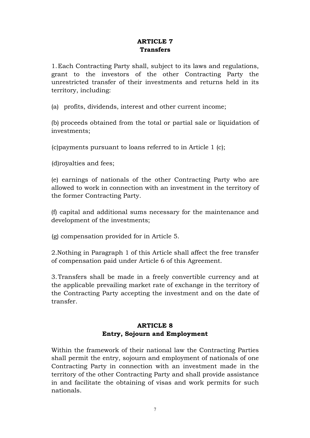#### **ARTICLE 7 Transfers**

1. Each Contracting Party shall, subject to its laws and regulations, grant to the investors of the other Contracting Party the unrestricted transfer of their investments and returns held in its territory, including:

(a) profits, dividends, interest and other current income;

(b) proceeds obtained from the total or partial sale or liquidation of investments;

(c)payments pursuant to loans referred to in Article 1 (c);

(d)royalties and fees;

(e) earnings of nationals of the other Contracting Party who are allowed to work in connection with an investment in the territory of the former Contracting Party.

(f) capital and additional sums necessary for the maintenance and development of the investments;

(g) compensation provided for in Article 5.

2.Nothing in Paragraph 1 of this Article shall affect the free transfer of compensation paid under Article 6 of this Agreement.

3. Transfers shall be made in a freely convertible currency and at the applicable prevailing market rate of exchange in the territory of the Contracting Party accepting the investment and on the date of transfer.

#### **ARTICLE 8 Entry, Sojourn and Employment**

Within the framework of their national law the Contracting Parties shall permit the entry, sojourn and employment of nationals of one Contracting Party in connection with an investment made in the territory of the other Contracting Party and shall provide assistance in and facilitate the obtaining of visas and work permits for such nationals.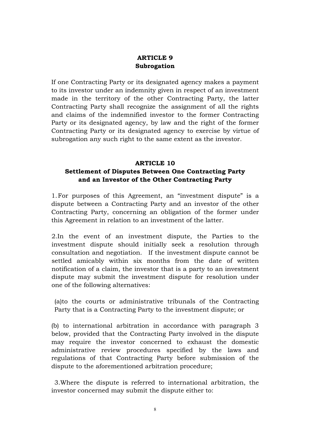#### **ARTICLE 9 Subrogation**

If one Contracting Party or its designated agency makes a payment to its investor under an indemnity given in respect of an investment made in the territory of the other Contracting Party, the latter Contracting Party shall recognize the assignment of all the rights and claims of the indemnified investor to the former Contracting Party or its designated agency, by law and the right of the former Contracting Party or its designated agency to exercise by virtue of subrogation any such right to the same extent as the investor.

#### **ARTICLE 10**

#### **Settlement of Disputes Between One Contracting Party and an Investor of the Other Contracting Party**

1. For purposes of this Agreement, an "investment dispute" is a dispute between a Contracting Party and an investor of the other Contracting Party, concerning an obligation of the former under this Agreement in relation to an investment of the latter.

2.In the event of an investment dispute, the Parties to the investment dispute should initially seek a resolution through consultation and negotiation. If the investment dispute cannot be settled amicably within six months from the date of written notification of a claim, the investor that is a party to an investment dispute may submit the investment dispute for resolution under one of the following alternatives:

(a)to the courts or administrative tribunals of the Contracting Party that is a Contracting Party to the investment dispute; or

(b) to international arbitration in accordance with paragraph 3 below, provided that the Contracting Party involved in the dispute may require the investor concerned to exhaust the domestic administrative review procedures specified by the laws and regulations of that Contracting Party before submission of the dispute to the aforementioned arbitration procedure;

3.Where the dispute is referred to international arbitration, the investor concerned may submit the dispute either to: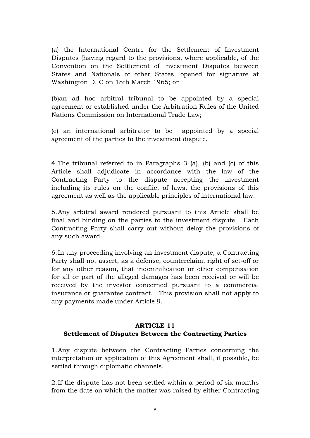(a) the International Centre for the Settlement of Investment Disputes (having regard to the provisions, where applicable, of the Convention on the Settlement of Investment Disputes between States and Nationals of other States, opened for signature at Washington D. C on 18th March 1965; or

(b)an ad hoc arbitral tribunal to be appointed by a special agreement or established under the Arbitration Rules of the United Nations Commission on International Trade Law;

(c) an international arbitrator to be appointed by a special agreement of the parties to the investment dispute.

4. The tribunal referred to in Paragraphs 3 (a), (b) and (c) of this Article shall adjudicate in accordance with the law of the Contracting Party to the dispute accepting the investment including its rules on the conflict of laws, the provisions of this agreement as well as the applicable principles of international law.

5. Any arbitral award rendered pursuant to this Article shall be final and binding on the parties to the investment dispute. Each Contracting Party shall carry out without delay the provisions of any such award.

6. In any proceeding involving an investment dispute, a Contracting Party shall not assert, as a defense, counterclaim, right of set-off or for any other reason, that indemnification or other compensation for all or part of the alleged damages has been received or will be received by the investor concerned pursuant to a commercial insurance or guarantee contract. This provision shall not apply to any payments made under Article 9.

#### **ARTICLE 11 Settlement of Disputes Between the Contracting Parties**

1. Any dispute between the Contracting Parties concerning the interpretation or application of this Agreement shall, if possible, be settled through diplomatic channels.

2. If the dispute has not been settled within a period of six months from the date on which the matter was raised by either Contracting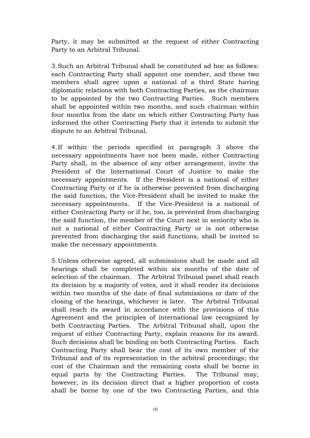Party, it may be submitted at the request of either Contracting Party to an Arbitral Tribunal.

3. Such an Arbitral Tribunal shall be constituted ad hoc as follows: each Contracting Party shall appoint one member, and these two members shall agree upon a national of a third State having diplomatic relations with both Contracting Parties, as the chairman to be appointed by the two Contracting Parties. Such members shall be appointed within two months, and such chairman within four months from the date on which either Contracting Party has informed the other Contracting Party that it intends to submit the dispute to an Arbitral Tribunal.

4. If within the periods specified in paragraph 3 above the necessary appointments have not been made, either Contracting Party shall, in the absence of any other arrangement, invite the President of the International Court of Justice to make the necessary appointments. If the President is a national of either Contracting Party or if he is otherwise prevented from discharging the said function, the Vice-President shall be invited to make the necessary appointments. If the Vice-President is a national of either Contracting Party or if he, too, is prevented from discharging the said function, the member of the Court next in seniority who is not a national of either Contracting Party or is not otherwise prevented from discharging the said functions, shall be invited to make the necessary appointments.

5. Unless otherwise agreed, all submissions shall be made and all hearings shall be completed within six months of the date of selection of the chairman. The Arbitral Tribunal panel shall reach its decision by a majority of votes, and it shall render its decisions within two months of the date of final submissions or date of the closing of the hearings, whichever is later. The Arbitral Tribunal shall reach its award in accordance with the provisions of this Agreement and the principles of international law recognized by both Contracting Parties. The Arbitral Tribunal shall, upon the request of either Contracting Party, explain reasons for its award. Such decisions shall be binding on both Contracting Parties. Each Contracting Party shall bear the cost of its own member of the Tribunal and of its representation in the arbitral proceedings; the cost of the Chairman and the remaining costs shall be borne in equal parts by the Contracting Parties. The Tribunal may, however, in its decision direct that a higher proportion of costs shall be borne by one of the two Contracting Parties, and this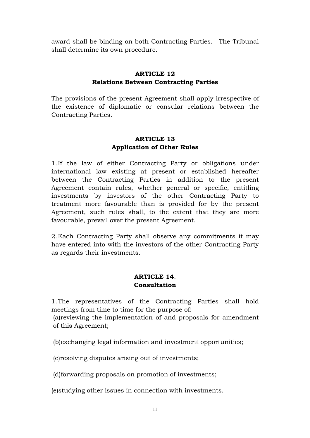award shall be binding on both Contracting Parties. The Tribunal shall determine its own procedure.

#### **ARTICLE 12 Relations Between Contracting Parties**

The provisions of the present Agreement shall apply irrespective of the existence of diplomatic or consular relations between the Contracting Parties.

#### **ARTICLE 13 Application of Other Rules**

1. If the law of either Contracting Party or obligations under international law existing at present or established hereafter between the Contracting Parties in addition to the present Agreement contain rules, whether general or specific, entitling investments by investors of the other Contracting Party to treatment more favourable than is provided for by the present Agreement, such rules shall, to the extent that they are more favourable, prevail over the present Agreement.

2. Each Contracting Party shall observe any commitments it may have entered into with the investors of the other Contracting Party as regards their investments.

#### **ARTICLE 14**. **Consultation**

1. The representatives of the Contracting Parties shall hold meetings from time to time for the purpose of:

(a)reviewing the implementation of and proposals for amendment of this Agreement;

(b)exchanging legal information and investment opportunities;

(c)resolving disputes arising out of investments;

(d)forwarding proposals on promotion of investments;

(e)studying other issues in connection with investments.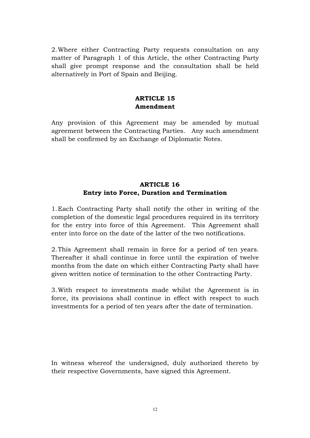2. Where either Contracting Party requests consultation on any matter of Paragraph 1 of this Article, the other Contracting Party shall give prompt response and the consultation shall be held alternatively in Port of Spain and Beijing.

#### **ARTICLE 15 Amendment**

Any provision of this Agreement may be amended by mutual agreement between the Contracting Parties. Any such amendment shall be confirmed by an Exchange of Diplomatic Notes.

#### **ARTICLE 16 Entry into Force, Duration and Termination**

1. Each Contracting Party shall notify the other in writing of the completion of the domestic legal procedures required in its territory for the entry into force of this Agreement. This Agreement shall enter into force on the date of the latter of the two notifications.

2. This Agreement shall remain in force for a period of ten years. Thereafter it shall continue in force until the expiration of twelve months from the date on which either Contracting Party shall have given written notice of termination to the other Contracting Party.

3. With respect to investments made whilst the Agreement is in force, its provisions shall continue in effect with respect to such investments for a period of ten years after the date of termination.

In witness whereof the undersigned, duly authorized thereto by their respective Governments, have signed this Agreement.